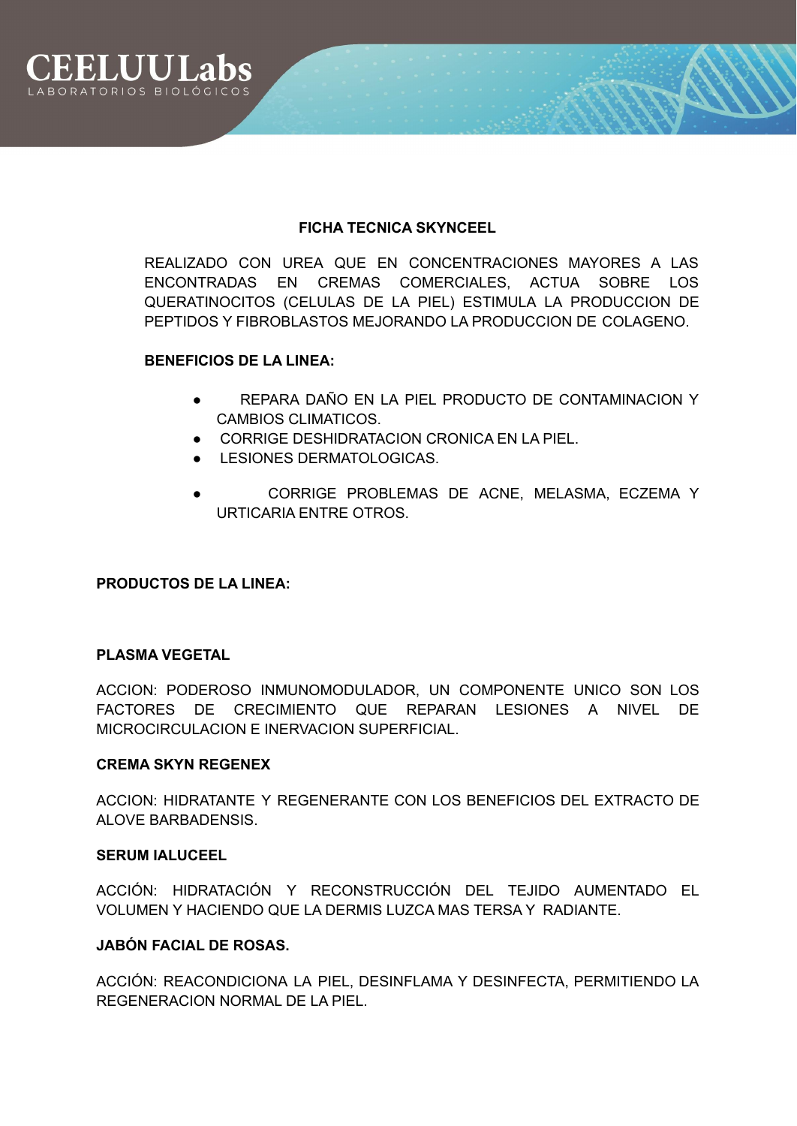

# **FICHA TECNICA SKYNCEEL**

REALIZADO CON UREA QUE EN CONCENTRACIONES MAYORES A LAS ENCONTRADAS EN CREMAS COMERCIALES, ACTUA SOBRE LOS QUERATINOCITOS (CELULAS DE LA PIEL) ESTIMULA LA PRODUCCION DE PEPTIDOS Y FIBROBLASTOS MEJORANDO LA PRODUCCION DE COLAGENO.

# **BENEFICIOS DE LA LINEA:**

- REPARA DAÑO EN LA PIEL PRODUCTO DE CONTAMINACION Y CAMBIOS CLIMATICOS.
- CORRIGE DESHIDRATACION CRONICA EN LA PIEL.
- **LESIONES DERMATOLOGICAS.**
- CORRIGE PROBLEMAS DE ACNE, MELASMA, ECZEMA Y URTICARIA ENTRE OTROS.

# **PRODUCTOS DE LA LINEA:**

# **PLASMA VEGETAL**

ACCION: PODEROSO INMUNOMODULADOR, UN COMPONENTE UNICO SON LOS FACTORES DE CRECIMIENTO QUE REPARAN LESIONES A NIVEL DE MICROCIRCULACION E INERVACION SUPERFICIAL.

## **CREMA SKYN REGENEX**

ACCION: HIDRATANTE Y REGENERANTE CON LOS BENEFICIOS DEL EXTRACTO DE ALOVE BARBADENSIS.

## **SERUM IALUCEEL**

ACCIÓN: HIDRATACIÓN Y RECONSTRUCCIÓN DEL TEJIDO AUMENTADO EL VOLUMEN Y HACIENDO QUE LA DERMIS LUZCA MAS TERSA Y RADIANTE.

# **JABÓN FACIAL DE ROSAS.**

ACCIÓN: REACONDICIONA LA PIEL, DESINFLAMA Y DESINFECTA, PERMITIENDO LA REGENERACION NORMAL DE LA PIEL.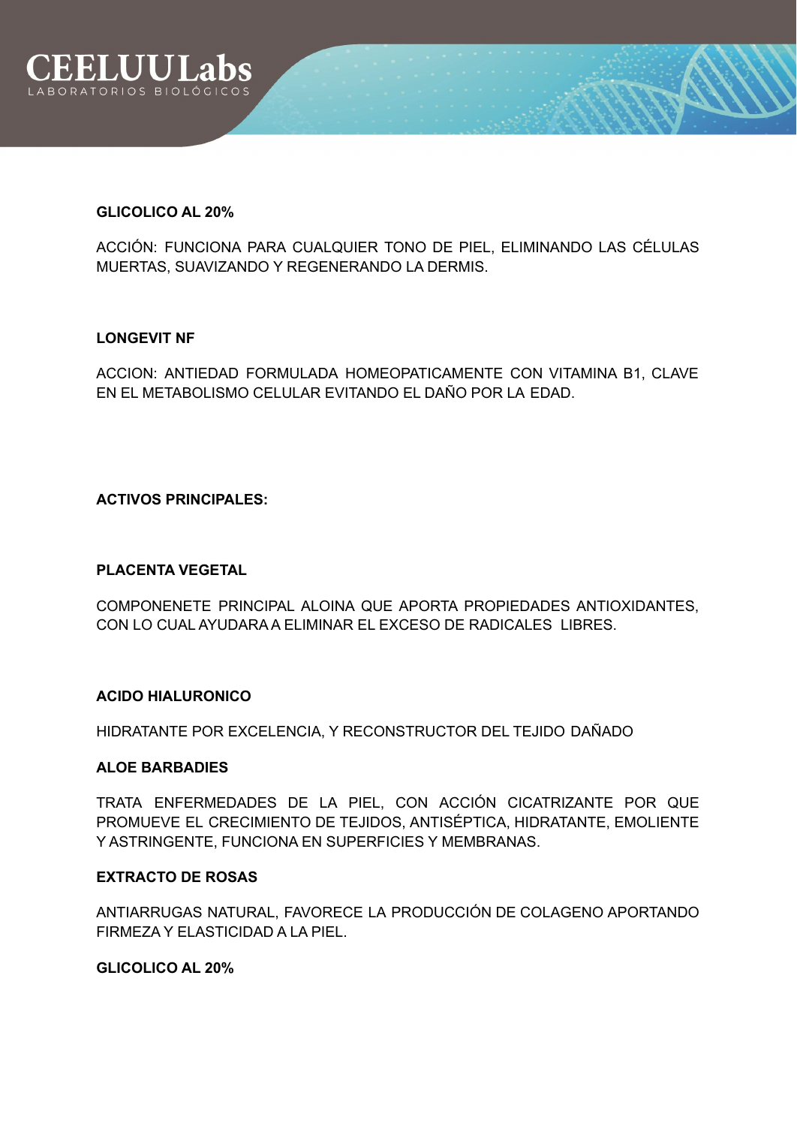

#### **GLICOLICO AL 20%**

ACCIÓN: FUNCIONA PARA CUALQUIER TONO DE PIEL, ELIMINANDO LAS CÉLULAS MUERTAS, SUAVIZANDO Y REGENERANDO LA DERMIS.

## **LONGEVIT NF**

ACCION: ANTIEDAD FORMULADA HOMEOPATICAMENTE CON VITAMINA B1, CLAVE EN EL METABOLISMO CELULAR EVITANDO EL DAÑO POR LA EDAD.

## **ACTIVOS PRINCIPALES:**

## **PLACENTA VEGETAL**

COMPONENETE PRINCIPAL ALOINA QUE APORTA PROPIEDADES ANTIOXIDANTES, CON LO CUAL AYUDARA A ELIMINAR EL EXCESO DE RADICALES LIBRES.

## **ACIDO HIALURONICO**

HIDRATANTE POR EXCELENCIA, Y RECONSTRUCTOR DEL TEJIDO DAÑADO

#### **ALOE BARBADIES**

TRATA ENFERMEDADES DE LA PIEL, CON ACCIÓN CICATRIZANTE POR QUE PROMUEVE EL CRECIMIENTO DE TEJIDOS, ANTISÉPTICA, HIDRATANTE, EMOLIENTE Y ASTRINGENTE, FUNCIONA EN SUPERFICIES Y MEMBRANAS.

# **EXTRACTO DE ROSAS**

ANTIARRUGAS NATURAL, FAVORECE LA PRODUCCIÓN DE COLAGENO APORTANDO FIRMEZA Y ELASTICIDAD A LA PIEL.

#### **GLICOLICO AL 20%**